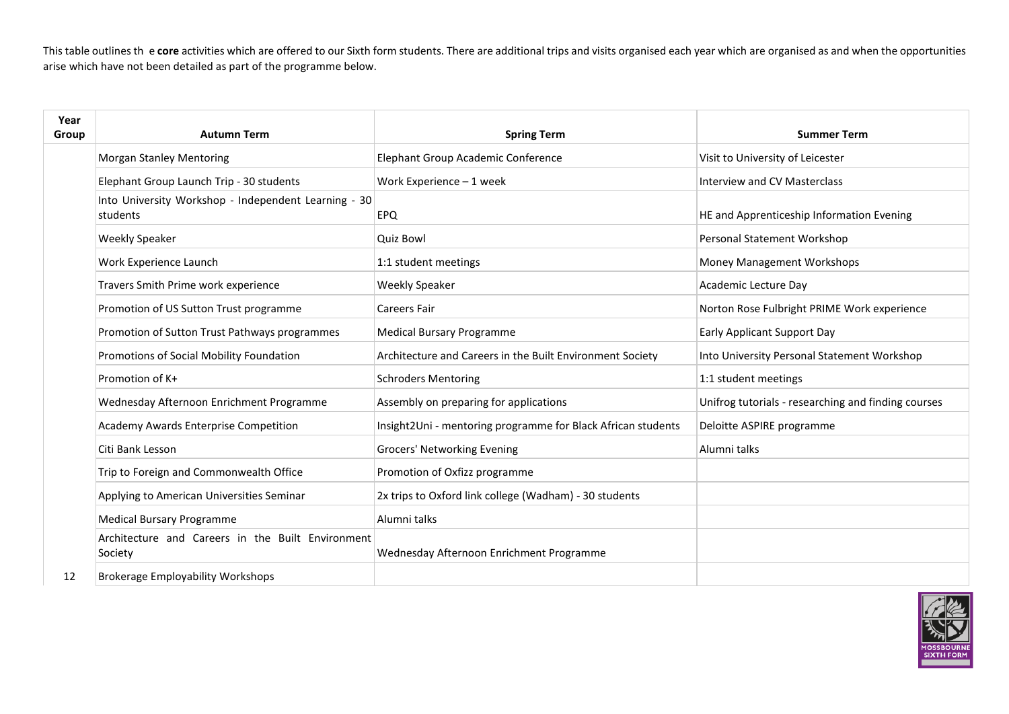This table outlines the core activities which are offered to our Sixth form students. There are additional trips and visits organised each year which are organised as and when the opportunities arise which have not been detailed as part of the programme below.

| Year<br>Group | <b>Autumn Term</b>                                               | <b>Spring Term</b>                                           | <b>Summer Term</b>                                  |
|---------------|------------------------------------------------------------------|--------------------------------------------------------------|-----------------------------------------------------|
|               | <b>Morgan Stanley Mentoring</b>                                  | Elephant Group Academic Conference                           | Visit to University of Leicester                    |
|               | Elephant Group Launch Trip - 30 students                         | Work Experience - 1 week                                     | Interview and CV Masterclass                        |
|               | Into University Workshop - Independent Learning - 30<br>students | <b>EPQ</b>                                                   | HE and Apprenticeship Information Evening           |
|               | <b>Weekly Speaker</b>                                            | Quiz Bowl                                                    | Personal Statement Workshop                         |
|               | Work Experience Launch                                           | 1:1 student meetings                                         | Money Management Workshops                          |
|               | Travers Smith Prime work experience                              | <b>Weekly Speaker</b>                                        | Academic Lecture Day                                |
|               | Promotion of US Sutton Trust programme                           | Careers Fair                                                 | Norton Rose Fulbright PRIME Work experience         |
|               | Promotion of Sutton Trust Pathways programmes                    | <b>Medical Bursary Programme</b>                             | Early Applicant Support Day                         |
|               | Promotions of Social Mobility Foundation                         | Architecture and Careers in the Built Environment Society    | Into University Personal Statement Workshop         |
|               | Promotion of K+                                                  | <b>Schroders Mentoring</b>                                   | 1:1 student meetings                                |
|               | Wednesday Afternoon Enrichment Programme                         | Assembly on preparing for applications                       | Unifrog tutorials - researching and finding courses |
|               | Academy Awards Enterprise Competition                            | Insight2Uni - mentoring programme for Black African students | Deloitte ASPIRE programme                           |
|               | Citi Bank Lesson                                                 | Grocers' Networking Evening                                  | Alumni talks                                        |
|               | Trip to Foreign and Commonwealth Office                          | Promotion of Oxfizz programme                                |                                                     |
|               | Applying to American Universities Seminar                        | 2x trips to Oxford link college (Wadham) - 30 students       |                                                     |
|               | <b>Medical Bursary Programme</b>                                 | Alumni talks                                                 |                                                     |
|               | Architecture and Careers in the Built Environment<br>Society     | Wednesday Afternoon Enrichment Programme                     |                                                     |
| 12            | <b>Brokerage Employability Workshops</b>                         |                                                              |                                                     |